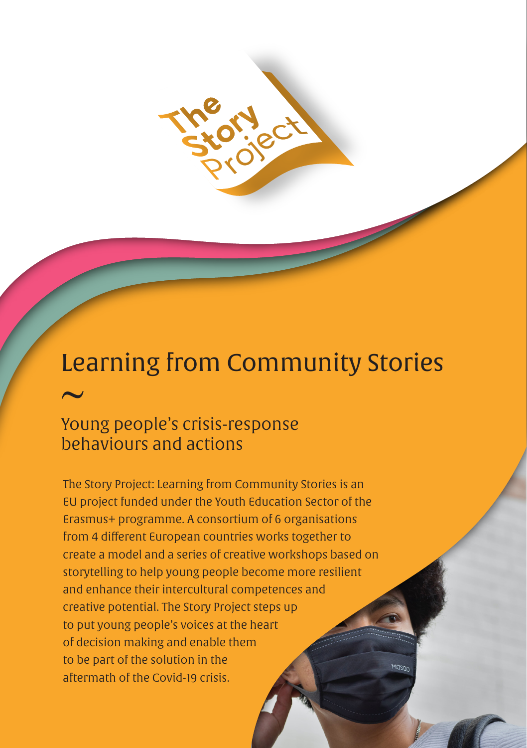

# Learning from Community Stories  $\overline{\phantom{0}}$

## Young people's crisis-response behaviours and actions

The Story Project: Learning from Community Stories is an EU project funded under the Youth Education Sector of the Erasmus+ programme. A consortium of 6 organisations from 4 different European countries works together to create a model and a series of creative workshops based on storytelling to help young people become more resilient and enhance their intercultural competences and creative potential. The Story Project steps up to put young people's voices at the heart of decision making and enable them to be part of the solution in the aftermath of the Covid-19 crisis.